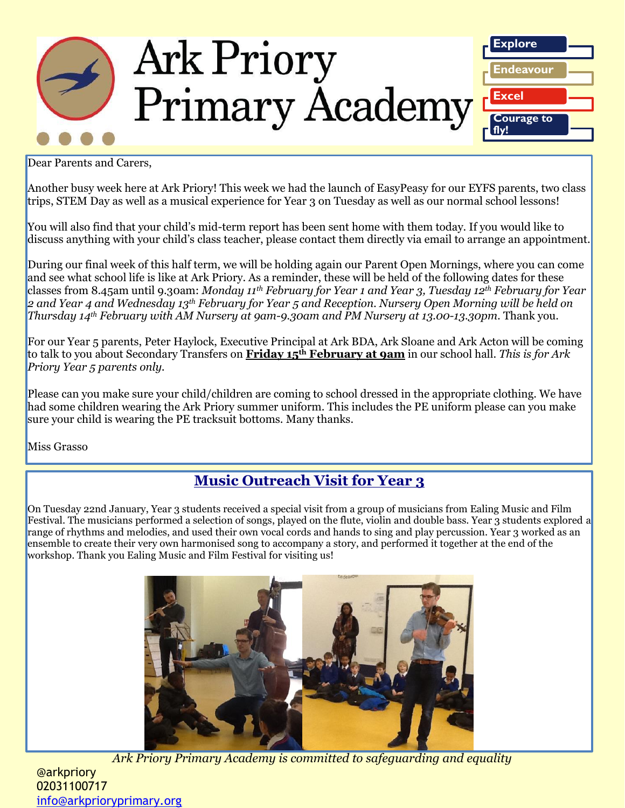

Dear Parents and Carers,

Another busy week here at Ark Priory! This week we had the launch of EasyPeasy for our EYFS parents, two class trips, STEM Day as well as a musical experience for Year 3 on Tuesday as well as our normal school lessons!

You will also find that your child's mid-term report has been sent home with them today. If you would like to discuss anything with your child's class teacher, please contact them directly via email to arrange an appointment.

During our final week of this half term, we will be holding again our Parent Open Mornings, where you can come and see what school life is like at Ark Priory. As a reminder, these will be held of the following dates for these classes from 8.45am until 9.30am: *Monday 11th February for Year 1 and Year 3, Tuesday 12th February for Year 2 and Year 4 and Wednesday 13th February for Year 5 and Reception. Nursery Open Morning will be held on Thursday 14th February with AM Nursery at 9am-9.30am and PM Nursery at 13.00-13.30pm.* Thank you.

For our Year 5 parents, Peter Haylock, Executive Principal at Ark BDA, Ark Sloane and Ark Acton will be coming to talk to you about Secondary Transfers on **Friday 15th February at 9am** in our school hall. *This is for Ark Priory Year 5 parents only.*

Please can you make sure your child/children are coming to school dressed in the appropriate clothing. We have had some children wearing the Ark Priory summer uniform. This includes the PE uniform please can you make sure your child is wearing the PE tracksuit bottoms. Many thanks.

Miss Grasso

## **Music Outreach Visit for Year 3**

On Tuesday 22nd January, Year 3 students received a special visit from a group of musicians from Ealing Music and Film Festival. The musicians performed a selection of songs, played on the flute, violin and double bass. Year 3 students explored a range of rhythms and melodies, and used their own vocal cords and hands to sing and play percussion. Year 3 worked as an ensemble to create their very own harmonised song to accompany a story, and performed it together at the end of the workshop. Thank you Ealing Music and Film Festival for visiting us!



*Ark Priory Primary Academy is committed to safeguarding and equality* 

@arkpriory 02031100717 [info@arkprioryprimary.org](mailto:info@arkprioryprimary.org)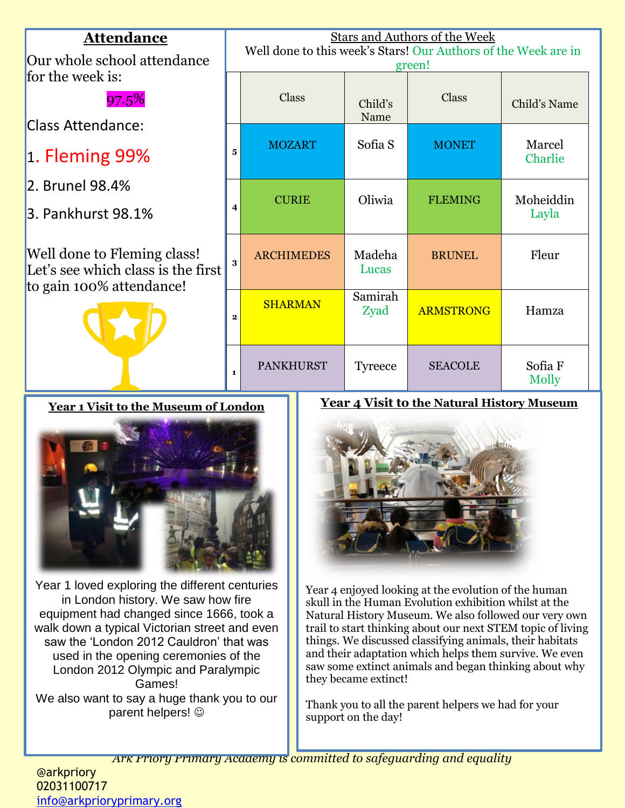| <b>Attendance</b><br>Our whole school attendance                                              | <b>Stars and Authors of the Week</b><br>Well done to this week's Stars! Our Authors of the Week are in<br>green! |                   |                 |                  |                    |  |
|-----------------------------------------------------------------------------------------------|------------------------------------------------------------------------------------------------------------------|-------------------|-----------------|------------------|--------------------|--|
| for the week is:<br>97.5%                                                                     |                                                                                                                  | <b>Class</b>      | Child's<br>Name | Class            | Child's Name       |  |
| Class Attendance:<br>$\vert$ 1. Fleming 99%                                                   | 5                                                                                                                | <b>MOZART</b>     | Sofia S         | <b>MONET</b>     | Marcel<br>Charlie  |  |
| 2. Brunel 98.4%<br>3. Pankhurst 98.1%                                                         | $\overline{\mathbf{4}}$                                                                                          | <b>CURIE</b>      | Oliwia          | <b>FLEMING</b>   | Moheiddin<br>Layla |  |
| Well done to Fleming class!<br>Let's see which class is the first<br>to gain 100% attendance! | $\overline{\mathbf{3}}$                                                                                          | <b>ARCHIMEDES</b> | Madeha<br>Lucas | <b>BRUNEL</b>    | Fleur              |  |
|                                                                                               | $\mathbf{2}$                                                                                                     | <b>SHARMAN</b>    | Samirah<br>Zyad | <b>ARMSTRONG</b> | Hamza              |  |
|                                                                                               | $\mathbf{1}$                                                                                                     | <b>PANKHURST</b>  | <b>Tyreece</b>  | <b>SEACOLE</b>   | Sofia F<br>Molly   |  |

**Year 1 Visit to the Museum of London**



Year 1 loved exploring the different centuries in London history. We saw how fire equipment had changed since 1666, took a walk down a typical Victorian street and even saw the 'London 2012 Cauldron' that was used in the opening ceremonies of the London 2012 Olympic and Paralympic Games! We also want to say a huge thank you to our parent helpers!

#### **Year 4 Visit to the Natural History Museum**



Year 4 enjoyed looking at the evolution of the human skull in the Human Evolution exhibition whilst at the Natural History Museum. We also followed our very own trail to start thinking about our next STEM topic of living things. We discussed classifying animals, their habitats and their adaptation which helps them survive. We even saw some extinct animals and began thinking about why they became extinct!

Thank you to all the parent helpers we had for your support on the day!

*Ark Priory Primary Academy is committed to safeguarding and equality*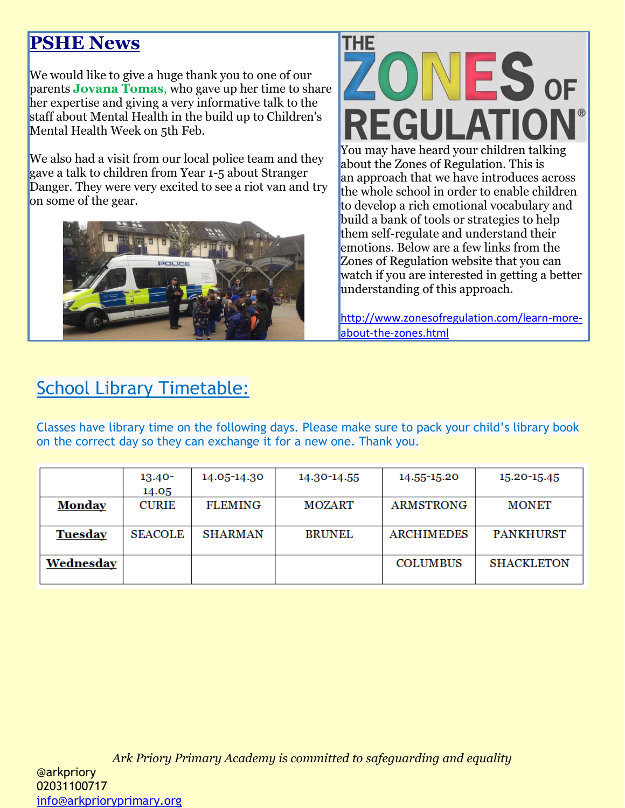# **PSHE News**

We would like to give a huge thank you to one of our parents **Jovana Tomas**, who gave up her time to share her expertise and giving a very informative talk to the staff about Mental Health in the build up to Children's Mental Health Week on 5th Feb.

We also had a visit from our local police team and they gave a talk to children from Year 1-5 about Stranger Danger. They were very excited to see a riot van and try on some of the gear.





emotions. Below are a few links from the Zones of Regulation website that you can watch if you are interested in getting a better understanding of this approach.

[http://www.zonesofregulation.com/learn-more](http://www.zonesofregulation.com/learn-more-about-the-zones.html)[about-the-zones.html](http://www.zonesofregulation.com/learn-more-about-the-zones.html)

# School Library Timetable:

Classes have library time on the following days. Please make sure to pack your child's library book on the correct day so they can exchange it for a new one. Thank you.

|                | $13.40 -$      | 14.05-14.30    | 14.30-14.55   | 14.55-15.20       | 15.20-15.45       |
|----------------|----------------|----------------|---------------|-------------------|-------------------|
|                | 14.05          |                |               |                   |                   |
| <b>Monday</b>  | <b>CURIE</b>   | <b>FLEMING</b> | <b>MOZART</b> | <b>ARMSTRONG</b>  | <b>MONET</b>      |
|                |                |                |               |                   |                   |
| <b>Tuesday</b> | <b>SEACOLE</b> | <b>SHARMAN</b> | <b>BRUNEL</b> | <b>ARCHIMEDES</b> | <b>PANKHURST</b>  |
|                |                |                |               |                   |                   |
| Wednesday      |                |                |               | <b>COLUMBUS</b>   | <b>SHACKLETON</b> |
|                |                |                |               |                   |                   |

*Ark Priory Primary Academy is committed to safeguarding and equality*  @arkpriory 02031100717 [info@arkprioryprimary.org](mailto:info@arkprioryprimary.org)